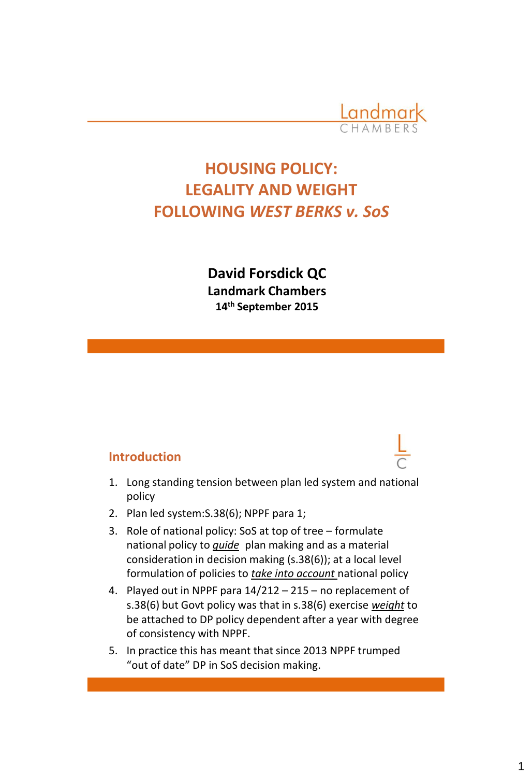

# **HOUSING POLICY: LEGALITY AND WEIGHT FOLLOWING** *WEST BERKS v. SoS*

**David Forsdick QC Landmark Chambers 14th September 2015**

#### **Introduction**

- 1. Long standing tension between plan led system and national policy
- 2. Plan led system:S.38(6); NPPF para 1;
- 3. Role of national policy: SoS at top of tree formulate national policy to *guide* plan making and as a material consideration in decision making (s.38(6)); at a local level formulation of policies to *take into account* national policy
- 4. Played out in NPPF para 14/212 215 no replacement of s.38(6) but Govt policy was that in s.38(6) exercise *weight* to be attached to DP policy dependent after a year with degree of consistency with NPPF.
- 5. In practice this has meant that since 2013 NPPF trumped "out of date" DP in SoS decision making.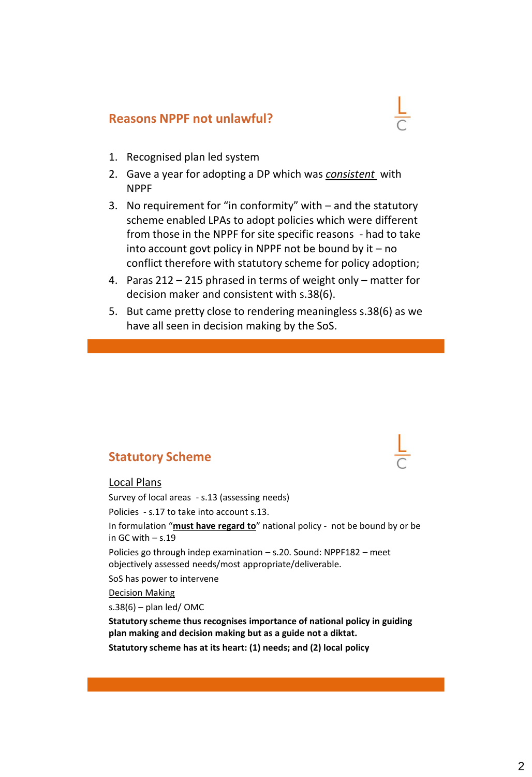## **Reasons NPPF not unlawful?**

- 1. Recognised plan led system
- 2. Gave a year for adopting a DP which was *consistent* with NPPF
- 3. No requirement for "in conformity" with and the statutory scheme enabled LPAs to adopt policies which were different from those in the NPPF for site specific reasons - had to take into account govt policy in NPPF not be bound by it – no conflict therefore with statutory scheme for policy adoption;
- 4. Paras 212 215 phrased in terms of weight only matter for decision maker and consistent with s.38(6).
- 5. But came pretty close to rendering meaningless s.38(6) as we have all seen in decision making by the SoS.

## **Statutory Scheme**

#### Local Plans

Ī

Survey of local areas - s.13 (assessing needs) Policies - s.17 to take into account s.13. In formulation "**must have regard to**" national policy - not be bound by or be in GC with  $- s.19$ Policies go through indep examination – s.20. Sound: NPPF182 – meet objectively assessed needs/most appropriate/deliverable. SoS has power to intervene Decision Making  $s.38(6)$  – plan led/OMC **Statutory scheme thus recognises importance of national policy in guiding plan making and decision making but as a guide not a diktat.**

**Statutory scheme has at its heart: (1) needs; and (2) local policy**

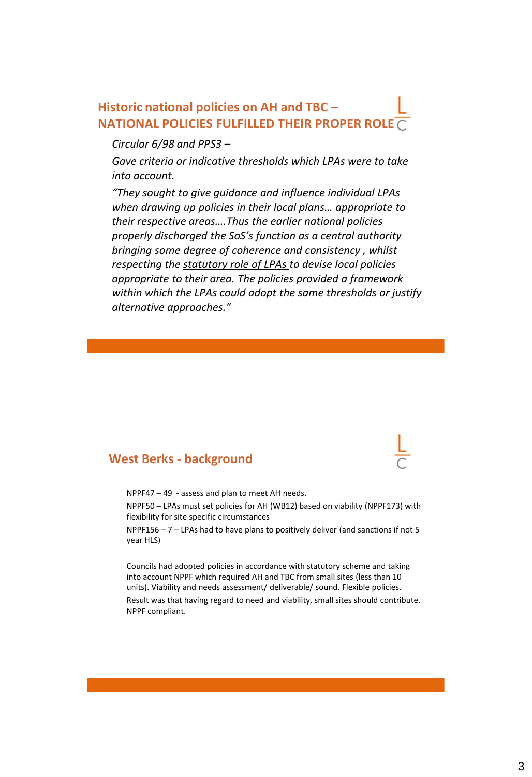### **Historic national policies on AH and TBC – NATIONAL POLICIES FULFILLED THEIR PROPER ROLE**

#### *Circular 6/98 and PPS3 –*

*Gave criteria or indicative thresholds which LPAs were to take into account.* 

*"They sought to give guidance and influence individual LPAs when drawing up policies in their local plans… appropriate to their respective areas….Thus the earlier national policies properly discharged the SoS's function as a central authority bringing some degree of coherence and consistency , whilst respecting the statutory role of LPAs to devise local policies appropriate to their area. The policies provided a framework within which the LPAs could adopt the same thresholds or justify alternative approaches."*

#### **West Berks - background**

NPPF47 – 49 - assess and plan to meet AH needs. NPPF50 – LPAs must set policies for AH (WB12) based on viability (NPPF173) with flexibility for site specific circumstances

NPPF156 – 7 – LPAs had to have plans to positively deliver (and sanctions if not 5 year HLS)

Councils had adopted policies in accordance with statutory scheme and taking into account NPPF which required AH and TBC from small sites (less than 10 units). Viability and needs assessment/ deliverable/ sound. Flexible policies.

Result was that having regard to need and viability, small sites should contribute. NPPF compliant.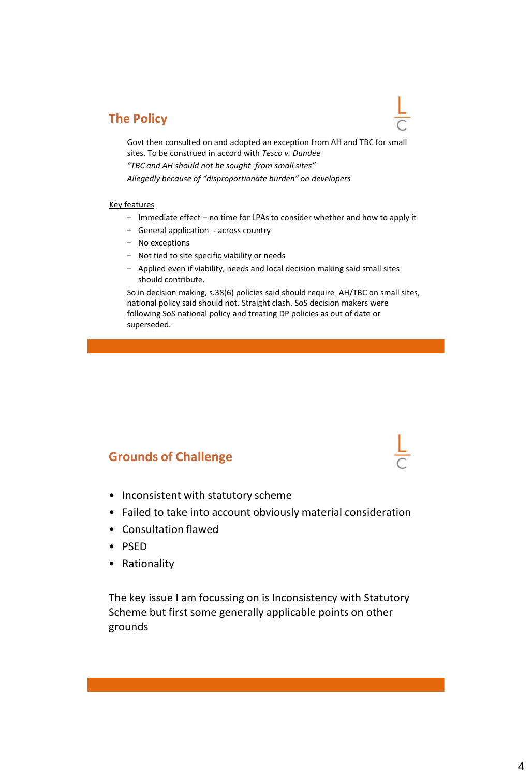#### **The Policy**

Govt then consulted on and adopted an exception from AH and TBC for small sites. To be construed in accord with *Tesco v. Dundee*

*"TBC and AH should not be sought from small sites"*

*Allegedly because of "disproportionate burden" on developers*

#### Key features

- Immediate effect no time for LPAs to consider whether and how to apply it
- General application across country
- No exceptions
- Not tied to site specific viability or needs
- Applied even if viability, needs and local decision making said small sites should contribute.

So in decision making, s.38(6) policies said should require AH/TBC on small sites, national policy said should not. Straight clash. SoS decision makers were following SoS national policy and treating DP policies as out of date or superseded.

#### **Grounds of Challenge**

- Inconsistent with statutory scheme
- Failed to take into account obviously material consideration
- Consultation flawed
- PSED
- Rationality

The key issue I am focussing on is Inconsistency with Statutory Scheme but first some generally applicable points on other grounds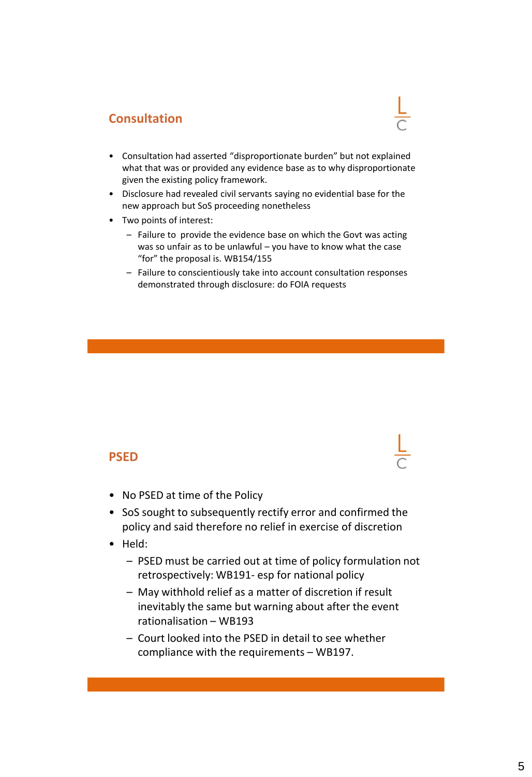### **Consultation**

- Consultation had asserted "disproportionate burden" but not explained what that was or provided any evidence base as to why disproportionate given the existing policy framework.
- Disclosure had revealed civil servants saying no evidential base for the new approach but SoS proceeding nonetheless
- Two points of interest:
	- Failure to provide the evidence base on which the Govt was acting was so unfair as to be unlawful – you have to know what the case "for" the proposal is. WB154/155
	- Failure to conscientiously take into account consultation responses demonstrated through disclosure: do FOIA requests

#### **PSED**



- No PSED at time of the Policy
- SoS sought to subsequently rectify error and confirmed the policy and said therefore no relief in exercise of discretion
- Held:
	- PSED must be carried out at time of policy formulation not retrospectively: WB191- esp for national policy
	- May withhold relief as a matter of discretion if result inevitably the same but warning about after the event rationalisation – WB193
	- Court looked into the PSED in detail to see whether compliance with the requirements – WB197.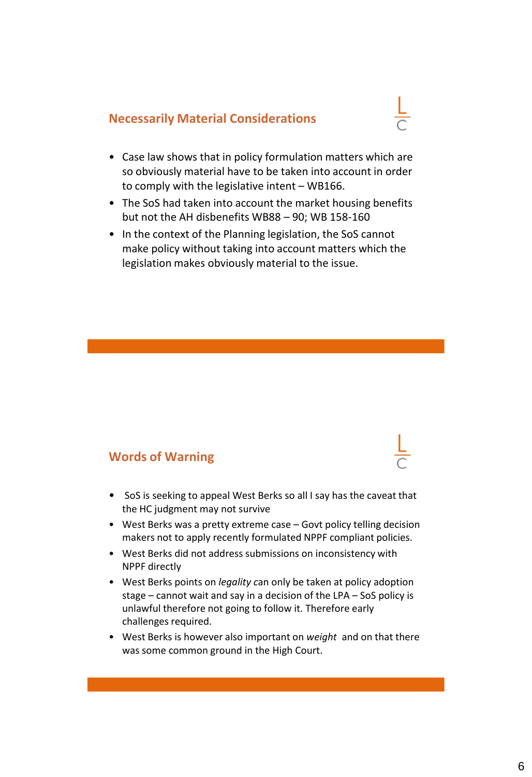#### **Necessarily Material Considerations**



- Case law shows that in policy formulation matters which are so obviously material have to be taken into account in order to comply with the legislative intent – WB166.
- The SoS had taken into account the market housing benefits but not the AH disbenefits WB88 – 90; WB 158-160
- In the context of the Planning legislation, the SoS cannot make policy without taking into account matters which the legislation makes obviously material to the issue.

#### **Words of Warning**

- SoS is seeking to appeal West Berks so all I say has the caveat that the HC judgment may not survive
- West Berks was a pretty extreme case Govt policy telling decision makers not to apply recently formulated NPPF compliant policies.
- West Berks did not address submissions on inconsistency with NPPF directly
- West Berks points on *legality c*an only be taken at policy adoption stage – cannot wait and say in a decision of the LPA – SoS policy is unlawful therefore not going to follow it. Therefore early challenges required.
- West Berks is however also important on *weight* and on that there was some common ground in the High Court.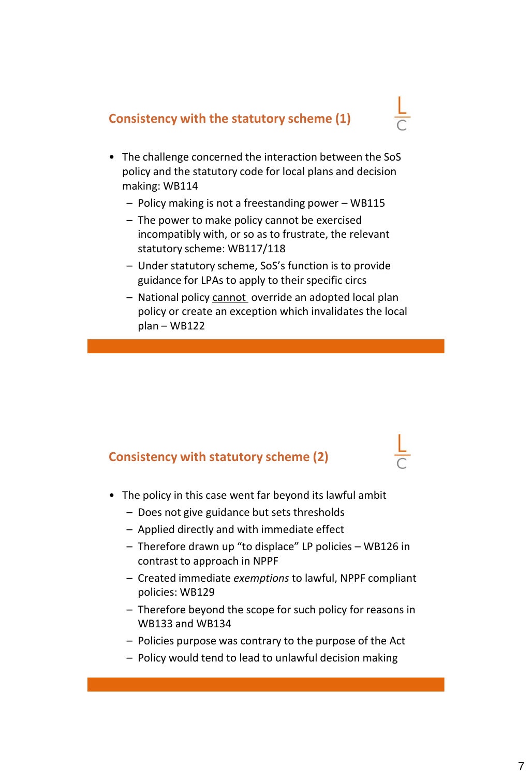#### **Consistency with the statutory scheme (1)**

- The challenge concerned the interaction between the SoS policy and the statutory code for local plans and decision making: WB114
	- Policy making is not a freestanding power WB115
	- The power to make policy cannot be exercised incompatibly with, or so as to frustrate, the relevant statutory scheme: WB117/118
	- Under statutory scheme, SoS's function is to provide guidance for LPAs to apply to their specific circs
	- National policy cannot override an adopted local plan policy or create an exception which invalidates the local plan – WB122

### **Consistency with statutory scheme (2)**

- The policy in this case went far beyond its lawful ambit
	- Does not give guidance but sets thresholds
	- Applied directly and with immediate effect
	- Therefore drawn up "to displace" LP policies WB126 in contrast to approach in NPPF
	- Created immediate *exemptions* to lawful, NPPF compliant policies: WB129
	- Therefore beyond the scope for such policy for reasons in WB133 and WB134
	- Policies purpose was contrary to the purpose of the Act
	- Policy would tend to lead to unlawful decision making